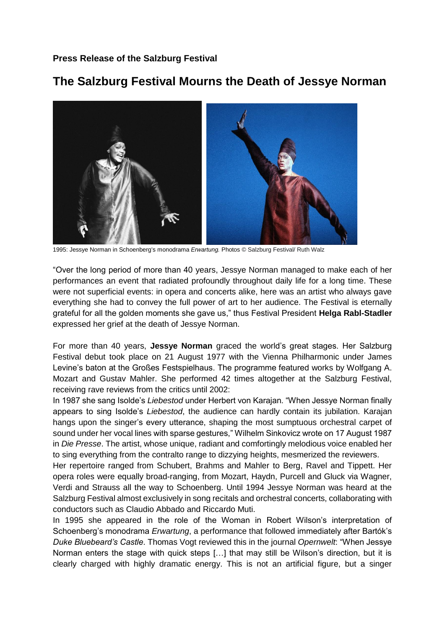## **The Salzburg Festival Mourns the Death of Jessye Norman**



1995: Jessye Norman in Schoenberg's monodrama *Erwartung.* Photos © Salzburg Festival/ Ruth Walz

"Over the long period of more than 40 years, Jessye Norman managed to make each of her performances an event that radiated profoundly throughout daily life for a long time. These were not superficial events: in opera and concerts alike, here was an artist who always gave everything she had to convey the full power of art to her audience. The Festival is eternally grateful for all the golden moments she gave us," thus Festival President **Helga Rabl-Stadler**  expressed her grief at the death of Jessye Norman.

For more than 40 years, **Jessye Norman** graced the world's great stages. Her Salzburg Festival debut took place on 21 August 1977 with the Vienna Philharmonic under James Levine's baton at the Großes Festspielhaus. The programme featured works by Wolfgang A. Mozart and Gustav Mahler. She performed 42 times altogether at the Salzburg Festival, receiving rave reviews from the critics until 2002:

In 1987 she sang Isolde's *Liebestod* under Herbert von Karajan. "When Jessye Norman finally appears to sing Isolde's *Liebestod*, the audience can hardly contain its jubilation. Karajan hangs upon the singer's every utterance, shaping the most sumptuous orchestral carpet of sound under her vocal lines with sparse gestures," Wilhelm Sinkovicz wrote on 17 August 1987 in *Die Presse*. The artist, whose unique, radiant and comfortingly melodious voice enabled her to sing everything from the contralto range to dizzying heights, mesmerized the reviewers.

Her repertoire ranged from Schubert, Brahms and Mahler to Berg, Ravel and Tippett. Her opera roles were equally broad-ranging, from Mozart, Haydn, Purcell and Gluck via Wagner, Verdi and Strauss all the way to Schoenberg. Until 1994 Jessye Norman was heard at the Salzburg Festival almost exclusively in song recitals and orchestral concerts, collaborating with conductors such as Claudio Abbado and Riccardo Muti.

In 1995 she appeared in the role of the Woman in Robert Wilson's interpretation of Schoenberg's monodrama *Erwartung*, a performance that followed immediately after Bartók's *Duke Bluebeard's Castle*. Thomas Vogt reviewed this in the journal *Opernwelt*: "When Jessye Norman enters the stage with quick steps […] that may still be Wilson's direction, but it is clearly charged with highly dramatic energy. This is not an artificial figure, but a singer